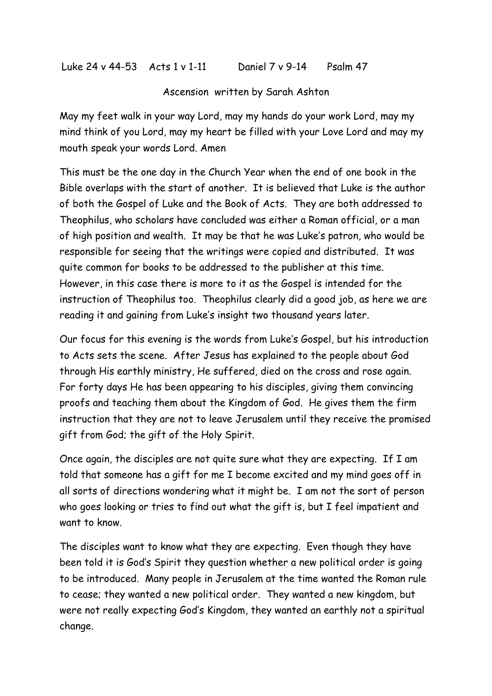Luke 24 v 44-53 Acts 1 v 1-11 Daniel 7 v 9-14 Psalm 47

Ascension written by Sarah Ashton

May my feet walk in your way Lord, may my hands do your work Lord, may my mind think of you Lord, may my heart be filled with your Love Lord and may my mouth speak your words Lord. Amen

This must be the one day in the Church Year when the end of one book in the Bible overlaps with the start of another. It is believed that Luke is the author of both the Gospel of Luke and the Book of Acts. They are both addressed to Theophilus, who scholars have concluded was either a Roman official, or a man of high position and wealth. It may be that he was Luke's patron, who would be responsible for seeing that the writings were copied and distributed. It was quite common for books to be addressed to the publisher at this time. However, in this case there is more to it as the Gospel is intended for the instruction of Theophilus too. Theophilus clearly did a good job, as here we are reading it and gaining from Luke's insight two thousand years later.

Our focus for this evening is the words from Luke's Gospel, but his introduction to Acts sets the scene. After Jesus has explained to the people about God through His earthly ministry, He suffered, died on the cross and rose again. For forty days He has been appearing to his disciples, giving them convincing proofs and teaching them about the Kingdom of God. He gives them the firm instruction that they are not to leave Jerusalem until they receive the promised gift from God; the gift of the Holy Spirit.

Once again, the disciples are not quite sure what they are expecting. If I am told that someone has a gift for me I become excited and my mind goes off in all sorts of directions wondering what it might be. I am not the sort of person who goes looking or tries to find out what the gift is, but I feel impatient and want to know.

The disciples want to know what they are expecting. Even though they have been told it is God's Spirit they question whether a new political order is going to be introduced. Many people in Jerusalem at the time wanted the Roman rule to cease; they wanted a new political order. They wanted a new kingdom, but were not really expecting God's Kingdom, they wanted an earthly not a spiritual change.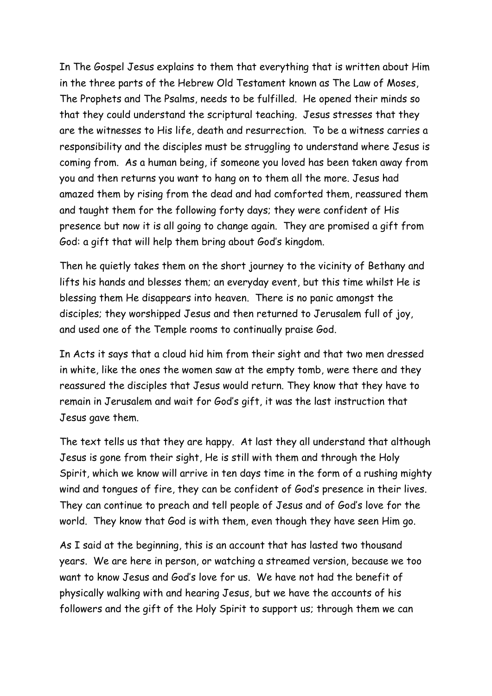In The Gospel Jesus explains to them that everything that is written about Him in the three parts of the Hebrew Old Testament known as The Law of Moses, The Prophets and The Psalms, needs to be fulfilled. He opened their minds so that they could understand the scriptural teaching. Jesus stresses that they are the witnesses to His life, death and resurrection. To be a witness carries a responsibility and the disciples must be struggling to understand where Jesus is coming from. As a human being, if someone you loved has been taken away from you and then returns you want to hang on to them all the more. Jesus had amazed them by rising from the dead and had comforted them, reassured them and taught them for the following forty days; they were confident of His presence but now it is all going to change again. They are promised a gift from God: a gift that will help them bring about God's kingdom.

Then he quietly takes them on the short journey to the vicinity of Bethany and lifts his hands and blesses them; an everyday event, but this time whilst He is blessing them He disappears into heaven. There is no panic amongst the disciples; they worshipped Jesus and then returned to Jerusalem full of joy, and used one of the Temple rooms to continually praise God.

In Acts it says that a cloud hid him from their sight and that two men dressed in white, like the ones the women saw at the empty tomb, were there and they reassured the disciples that Jesus would return. They know that they have to remain in Jerusalem and wait for God's gift, it was the last instruction that Jesus gave them.

The text tells us that they are happy. At last they all understand that although Jesus is gone from their sight, He is still with them and through the Holy Spirit, which we know will arrive in ten days time in the form of a rushing mighty wind and tongues of fire, they can be confident of God's presence in their lives. They can continue to preach and tell people of Jesus and of God's love for the world. They know that God is with them, even though they have seen Him go.

As I said at the beginning, this is an account that has lasted two thousand years. We are here in person, or watching a streamed version, because we too want to know Jesus and God's love for us. We have not had the benefit of physically walking with and hearing Jesus, but we have the accounts of his followers and the gift of the Holy Spirit to support us; through them we can